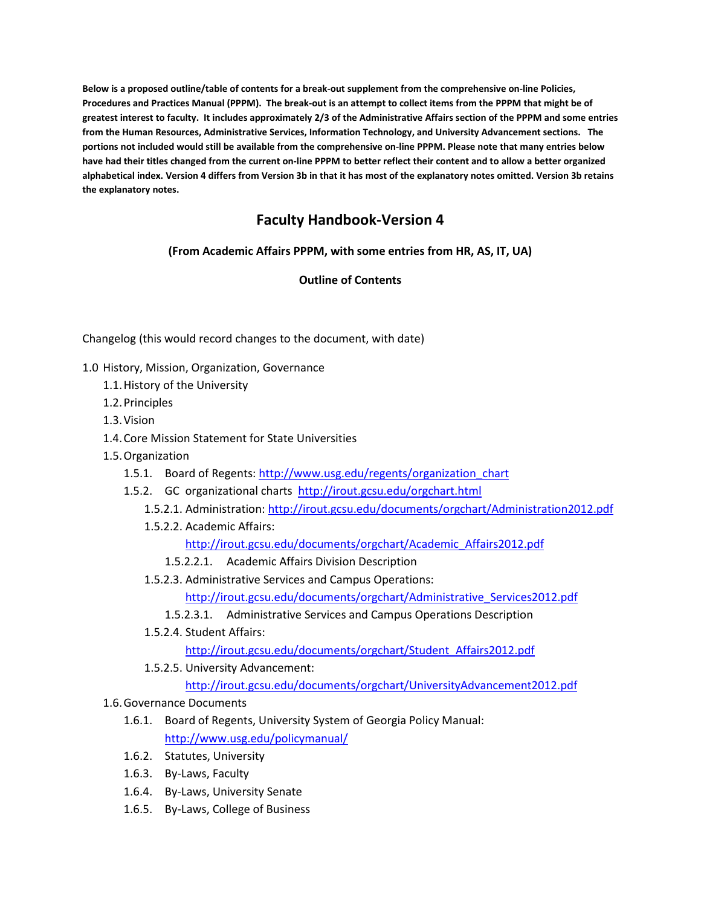**Below is a proposed outline/table of contents for a break-out supplement from the comprehensive on-line Policies, Procedures and Practices Manual (PPPM). The break-out is an attempt to collect items from the PPPM that might be of greatest interest to faculty. It includes approximately 2/3 of the Administrative Affairs section of the PPPM and some entries from the Human Resources, Administrative Services, Information Technology, and University Advancement sections. The portions not included would still be available from the comprehensive on-line PPPM. Please note that many entries below have had their titles changed from the current on-line PPPM to better reflect their content and to allow a better organized alphabetical index. Version 4 differs from Version 3b in that it has most of the explanatory notes omitted. Version 3b retains the explanatory notes.**

## **Faculty Handbook-Version 4**

**(From Academic Affairs PPPM, with some entries from HR, AS, IT, UA)**

## **Outline of Contents**

Changelog (this would record changes to the document, with date)

- 1.0 History, Mission, Organization, Governance
	- 1.1.History of the University
	- 1.2.Principles
	- 1.3.Vision
	- 1.4.Core Mission Statement for State Universities
	- 1.5.Organization
		- 1.5.1. Board of Regents: [http://www.usg.edu/regents/organization\\_chart](http://www.usg.edu/regents/organization_chart)
		- 1.5.2. GC organizational charts <http://irout.gcsu.edu/orgchart.html>
			- 1.5.2.1. Administration:<http://irout.gcsu.edu/documents/orgchart/Administration2012.pdf>
			- 1.5.2.2. Academic Affairs:
				- [http://irout.gcsu.edu/documents/orgchart/Academic\\_Affairs2012.pdf](http://irout.gcsu.edu/documents/orgchart/Academic_Affairs2012.pdf)
				- 1.5.2.2.1. Academic Affairs Division Description
			- 1.5.2.3. Administrative Services and Campus Operations:
				- [http://irout.gcsu.edu/documents/orgchart/Administrative\\_Services2012.pdf](http://irout.gcsu.edu/documents/orgchart/Administrative_Services2012.pdf)
				- 1.5.2.3.1. Administrative Services and Campus Operations Description
			- 1.5.2.4. Student Affairs:

[http://irout.gcsu.edu/documents/orgchart/Student\\_Affairs2012.pdf](http://irout.gcsu.edu/documents/orgchart/Student_Affairs2012.pdf)

1.5.2.5. University Advancement:

<http://irout.gcsu.edu/documents/orgchart/UniversityAdvancement2012.pdf>

## 1.6.Governance Documents

- 1.6.1. Board of Regents, University System of Georgia Policy Manual: <http://www.usg.edu/policymanual/>
- 1.6.2. Statutes, University
- 1.6.3. By-Laws, Faculty
- 1.6.4. By-Laws, University Senate
- 1.6.5. By-Laws, College of Business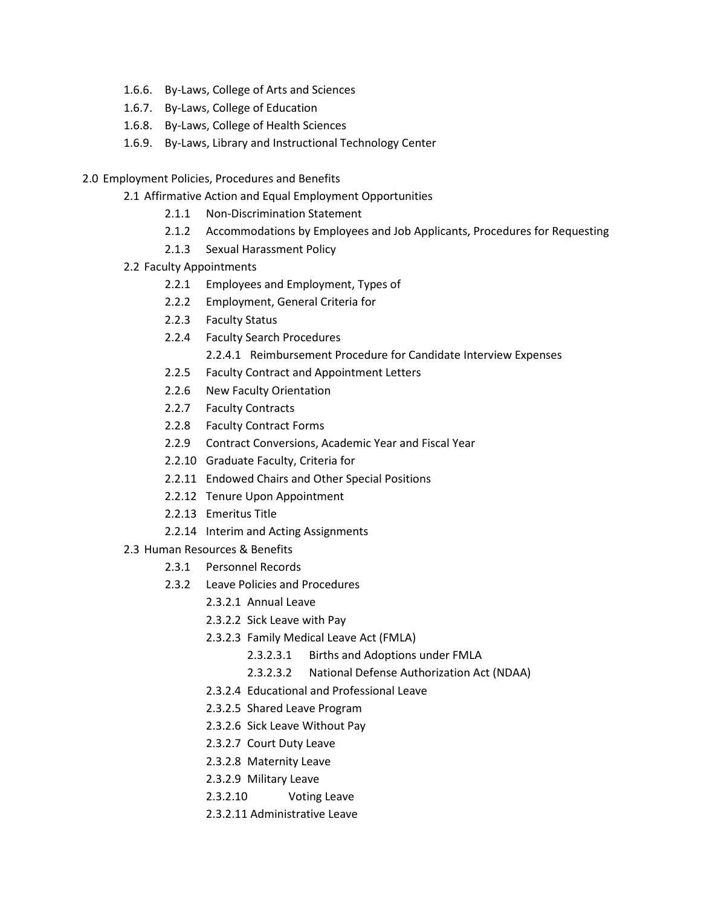- 1.6.6. By-Laws, College of Arts and Sciences
- 1.6.7. By-Laws, College of Education
- 1.6.8. By-Laws, College of Health Sciences
- 1.6.9. By-Laws, Library and Instructional Technology Center
- 2.0 Employment Policies, Procedures and Benefits
	- 2.1 Affirmative Action and Equal Employment Opportunities
		- 2.1.1 Non-Discrimination Statement
		- 2.1.2 Accommodations by Employees and Job Applicants, Procedures for Requesting
		- 2.1.3 Sexual Harassment Policy
	- 2.2 Faculty Appointments
		- 2.2.1 Employees and Employment, Types of
		- 2.2.2 Employment, General Criteria for
		- 2.2.3 Faculty Status
		- 2.2.4 Faculty Search Procedures
			- 2.2.4.1 Reimbursement Procedure for Candidate Interview Expenses
		- 2.2.5 Faculty Contract and Appointment Letters
		- 2.2.6 New Faculty Orientation
		- 2.2.7 Faculty Contracts
		- 2.2.8 Faculty Contract Forms
		- 2.2.9 Contract Conversions, Academic Year and Fiscal Year
		- 2.2.10 Graduate Faculty, Criteria for
		- 2.2.11 Endowed Chairs and Other Special Positions
		- 2.2.12 Tenure Upon Appointment
		- 2.2.13 Emeritus Title
		- 2.2.14 Interim and Acting Assignments
	- 2.3 Human Resources & Benefits
		- 2.3.1 Personnel Records
		- 2.3.2 Leave Policies and Procedures
			- 2.3.2.1 Annual Leave
			- 2.3.2.2 Sick Leave with Pay
			- 2.3.2.3 Family Medical Leave Act (FMLA)
				- 2.3.2.3.1 Births and Adoptions under FMLA
				- 2.3.2.3.2 National Defense Authorization Act (NDAA)
			- 2.3.2.4 Educational and Professional Leave
			- 2.3.2.5 Shared Leave Program
			- 2.3.2.6 Sick Leave Without Pay
			- 2.3.2.7 Court Duty Leave
			- 2.3.2.8 Maternity Leave
			- 2.3.2.9 Military Leave
			- 2.3.2.10 Voting Leave
			- 2.3.2.11 Administrative Leave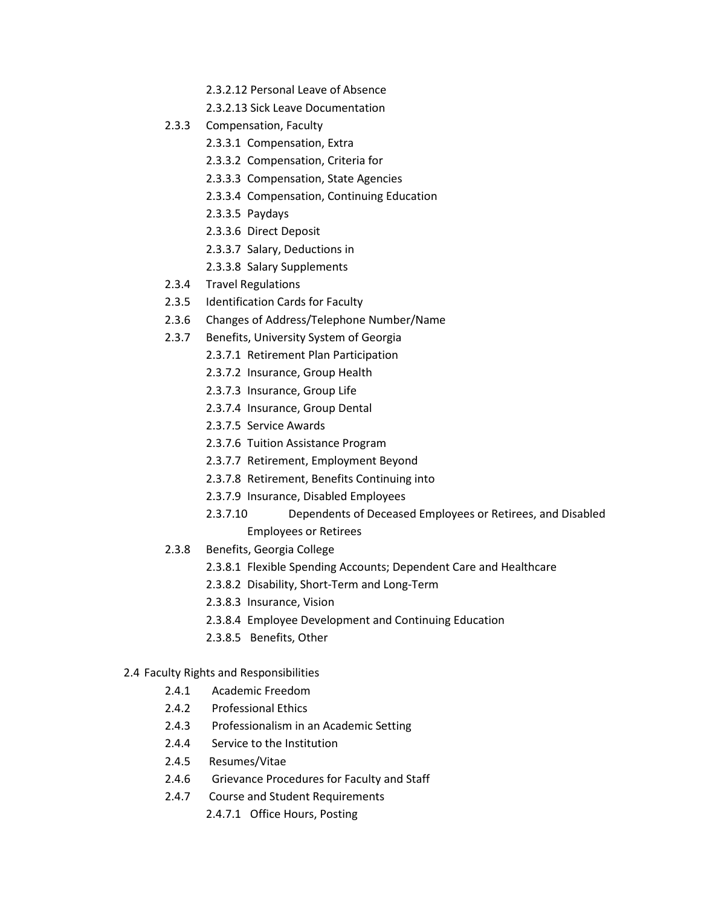- 2.3.2.12 Personal Leave of Absence
- 2.3.2.13 Sick Leave Documentation
- 2.3.3 Compensation, Faculty
	- 2.3.3.1 Compensation, Extra
	- 2.3.3.2 Compensation, Criteria for
	- 2.3.3.3 Compensation, State Agencies
	- 2.3.3.4 Compensation, Continuing Education
	- 2.3.3.5 Paydays
	- 2.3.3.6 Direct Deposit
	- 2.3.3.7 Salary, Deductions in
	- 2.3.3.8 Salary Supplements
- 2.3.4 Travel Regulations
- 2.3.5 Identification Cards for Faculty
- 2.3.6 Changes of Address/Telephone Number/Name
- 2.3.7 Benefits, University System of Georgia
	- 2.3.7.1 Retirement Plan Participation
	- 2.3.7.2 Insurance, Group Health
	- 2.3.7.3 Insurance, Group Life
	- 2.3.7.4 Insurance, Group Dental
	- 2.3.7.5 Service Awards
	- 2.3.7.6 Tuition Assistance Program
	- 2.3.7.7 Retirement, Employment Beyond
	- 2.3.7.8 Retirement, Benefits Continuing into
	- 2.3.7.9 Insurance, Disabled Employees
	- 2.3.7.10 Dependents of Deceased Employees or Retirees, and Disabled Employees or Retirees
- 2.3.8 Benefits, Georgia College
	- 2.3.8.1 Flexible Spending Accounts; Dependent Care and Healthcare
	- 2.3.8.2 Disability, Short-Term and Long-Term
	- 2.3.8.3 Insurance, Vision
	- 2.3.8.4 Employee Development and Continuing Education
	- 2.3.8.5 Benefits, Other
- 2.4 Faculty Rights and Responsibilities
	- 2.4.1 Academic Freedom
	- 2.4.2 Professional Ethics
	- 2.4.3 Professionalism in an Academic Setting
	- 2.4.4 Service to the Institution
	- 2.4.5 Resumes/Vitae
	- 2.4.6 Grievance Procedures for Faculty and Staff
	- 2.4.7 Course and Student Requirements
		- 2.4.7.1 Office Hours, Posting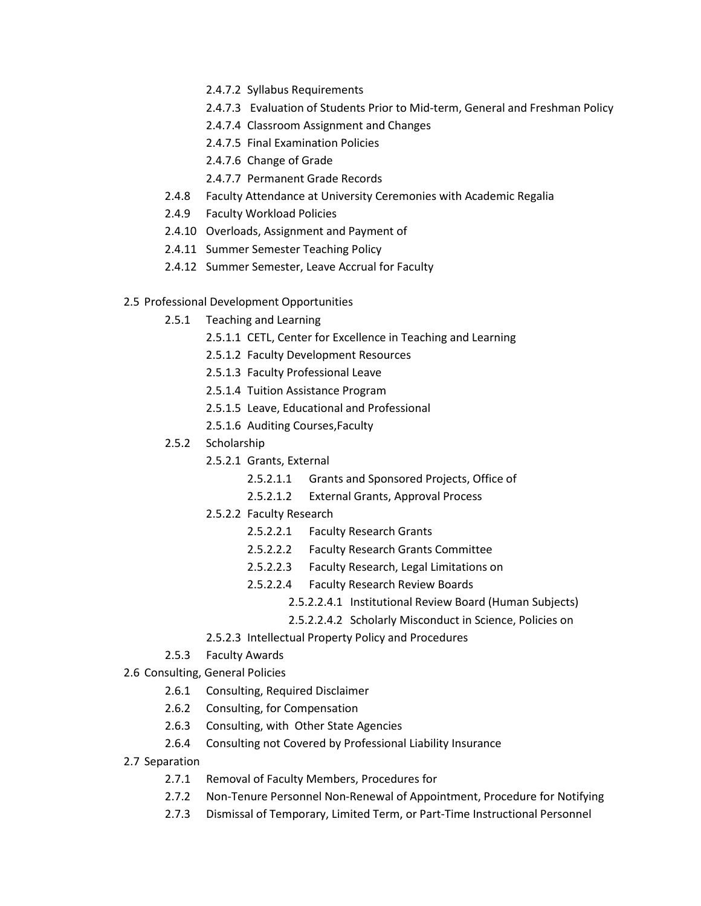- 2.4.7.2 Syllabus Requirements
- 2.4.7.3 Evaluation of Students Prior to Mid-term, General and Freshman Policy
- 2.4.7.4 Classroom Assignment and Changes
- 2.4.7.5 Final Examination Policies
- 2.4.7.6 Change of Grade
- 2.4.7.7 Permanent Grade Records
- 2.4.8 Faculty Attendance at University Ceremonies with Academic Regalia
- 2.4.9 Faculty Workload Policies
- 2.4.10 Overloads, Assignment and Payment of
- 2.4.11 Summer Semester Teaching Policy
- 2.4.12 Summer Semester, Leave Accrual for Faculty
- 2.5 Professional Development Opportunities
	- 2.5.1 Teaching and Learning
		- 2.5.1.1 CETL, Center for Excellence in Teaching and Learning
		- 2.5.1.2 Faculty Development Resources
		- 2.5.1.3 Faculty Professional Leave
		- 2.5.1.4 Tuition Assistance Program
		- 2.5.1.5 Leave, Educational and Professional
		- 2.5.1.6 Auditing Courses,Faculty
	- 2.5.2 Scholarship
		- 2.5.2.1 Grants, External
			- 2.5.2.1.1 Grants and Sponsored Projects, Office of
			- 2.5.2.1.2 External Grants, Approval Process
		- 2.5.2.2 Faculty Research
			- 2.5.2.2.1 Faculty Research Grants
			- 2.5.2.2.2 Faculty Research Grants Committee
			- 2.5.2.2.3 Faculty Research, Legal Limitations on
			- 2.5.2.2.4 Faculty Research Review Boards
				- 2.5.2.2.4.1 Institutional Review Board (Human Subjects)
				- 2.5.2.2.4.2 Scholarly Misconduct in Science, Policies on
		- 2.5.2.3 Intellectual Property Policy and Procedures
	- 2.5.3 Faculty Awards

2.6 Consulting, General Policies

- 2.6.1 Consulting, Required Disclaimer
- 2.6.2 Consulting, for Compensation
- 2.6.3 Consulting, with Other State Agencies
- 2.6.4 Consulting not Covered by Professional Liability Insurance
- 2.7 Separation
	- 2.7.1 Removal of Faculty Members, Procedures for
	- 2.7.2 Non-Tenure Personnel Non-Renewal of Appointment, Procedure for Notifying
	- 2.7.3 Dismissal of Temporary, Limited Term, or Part-Time Instructional Personnel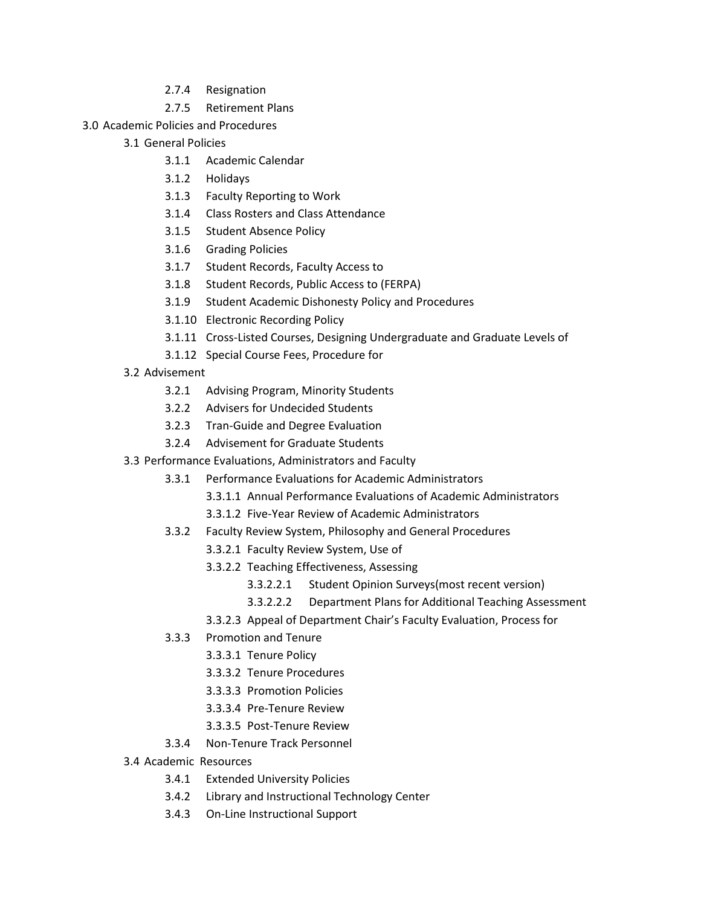- 2.7.4 Resignation
- 2.7.5 Retirement Plans
- 3.0 Academic Policies and Procedures
	- 3.1 General Policies
		- 3.1.1 Academic Calendar
		- 3.1.2 Holidays
		- 3.1.3 Faculty Reporting to Work
		- 3.1.4 Class Rosters and Class Attendance
		- 3.1.5 Student Absence Policy
		- 3.1.6 Grading Policies
		- 3.1.7 Student Records, Faculty Access to
		- 3.1.8 Student Records, Public Access to (FERPA)
		- 3.1.9 Student Academic Dishonesty Policy and Procedures
		- 3.1.10 Electronic Recording Policy
		- 3.1.11 Cross-Listed Courses, Designing Undergraduate and Graduate Levels of
		- 3.1.12 Special Course Fees, Procedure for
	- 3.2 Advisement
		- 3.2.1 Advising Program, Minority Students
		- 3.2.2 Advisers for Undecided Students
		- 3.2.3 Tran-Guide and Degree Evaluation
		- 3.2.4 Advisement for Graduate Students
	- 3.3 Performance Evaluations, Administrators and Faculty
		- 3.3.1 Performance Evaluations for Academic Administrators
			- 3.3.1.1 Annual Performance Evaluations of Academic Administrators
			- 3.3.1.2 Five-Year Review of Academic Administrators
		- 3.3.2 Faculty Review System, Philosophy and General Procedures
			- 3.3.2.1 Faculty Review System, Use of
			- 3.3.2.2 Teaching Effectiveness, Assessing
				- 3.3.2.2.1 Student Opinion Surveys(most recent version)
				- 3.3.2.2.2 Department Plans for Additional Teaching Assessment
			- 3.3.2.3 Appeal of Department Chair's Faculty Evaluation, Process for
		- 3.3.3 Promotion and Tenure
			- 3.3.3.1 Tenure Policy
			- 3.3.3.2 Tenure Procedures
			- 3.3.3.3 Promotion Policies
			- 3.3.3.4 Pre-Tenure Review
			- 3.3.3.5 Post-Tenure Review
		- 3.3.4 Non-Tenure Track Personnel
	- 3.4 Academic Resources
		- 3.4.1 Extended University Policies
		- 3.4.2 Library and Instructional Technology Center
		- 3.4.3 On-Line Instructional Support